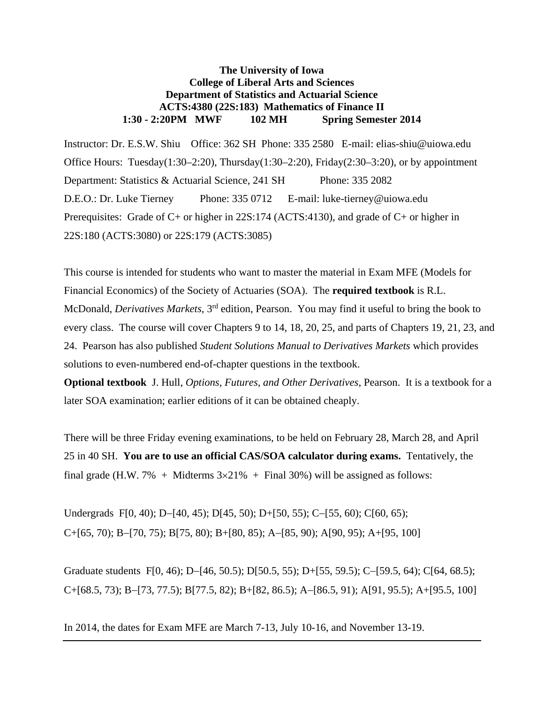# **The University of Iowa College of Liberal Arts and Sciences Department of Statistics and Actuarial Science ACTS:4380 (22S:183) Mathematics of Finance II 1:30 - 2:20PM MWF 102 MH Spring Semester 2014**

Instructor: Dr. E.S.W. Shiu Office: 362 SH Phone: 335 2580 E-mail: elias-shiu@uiowa.edu Office Hours: Tuesday(1:30–2:20), Thursday(1:30–2:20), Friday(2:30–3:20), or by appointment Department: Statistics & Actuarial Science, 241 SH Phone: 335 2082 D.E.O.: Dr. Luke Tierney Phone: 335 0712 E-mail: luke-tierney@uiowa.edu Prerequisites: Grade of C+ or higher in 22S:174 (ACTS:4130), and grade of C+ or higher in 22S:180 (ACTS:3080) or 22S:179 (ACTS:3085)

This course is intended for students who want to master the material in Exam MFE (Models for Financial Economics) of the Society of Actuaries (SOA). The **required textbook** is R.L. McDonald, *Derivatives Markets*, 3rd edition, Pearson. You may find it useful to bring the book to every class. The course will cover Chapters 9 to 14, 18, 20, 25, and parts of Chapters 19, 21, 23, and 24. Pearson has also published *Student Solutions Manual to Derivatives Markets* which provides solutions to even-numbered end-of-chapter questions in the textbook.

**Optional textbook** J. Hull, *Options, Futures, and Other Derivatives*, Pearson. It is a textbook for a later SOA examination; earlier editions of it can be obtained cheaply.

There will be three Friday evening examinations, to be held on February 28, March 28, and April 25 in 40 SH. **You are to use an official CAS/SOA calculator during exams.** Tentatively, the final grade (H.W. 7% + Midterms  $3 \times 21\%$  + Final 30%) will be assigned as follows:

Undergrads F[0, 40); D-[40, 45); D[45, 50); D+[50, 55); C-[55, 60); C[60, 65);  $C+[65, 70)$ ; B-[70, 75); B[75, 80); B+[80, 85); A-[85, 90); A[90, 95); A+[95, 100]

Graduate students F[0, 46); D-[46, 50.5); D[50.5, 55); D+[55, 59.5); C-[59.5, 64); C[64, 68.5);  $C+[68.5, 73)$ ; B-[73, 77.5); B[77.5, 82); B+[82, 86.5); A-[86.5, 91); A[91, 95.5); A+[95.5, 100]

In 2014, the dates for Exam MFE are March 7-13, July 10-16, and November 13-19.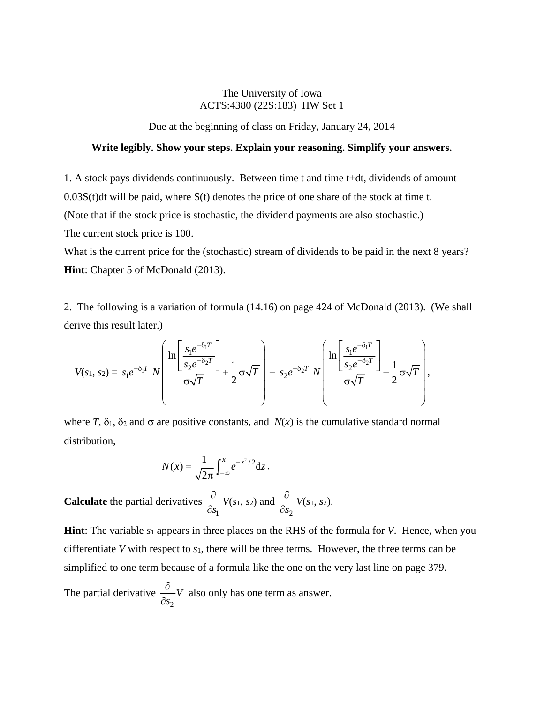# The University of Iowa ACTS:4380 (22S:183) HW Set 1

Due at the beginning of class on Friday, January 24, 2014

## **Write legibly. Show your steps. Explain your reasoning. Simplify your answers.**

1. A stock pays dividends continuously. Between time t and time t+dt, dividends of amount

 $0.03S(t)dt$  will be paid, where  $S(t)$  denotes the price of one share of the stock at time t.

(Note that if the stock price is stochastic, the dividend payments are also stochastic.)

The current stock price is 100.

What is the current price for the (stochastic) stream of dividends to be paid in the next 8 years? **Hint**: Chapter 5 of McDonald (2013).

2. The following is a variation of formula (14.16) on page 424 of McDonald (2013). (We shall derive this result later.)

$$
V(s_1, s_2) = s_1 e^{-\delta_1 T} N \left( \frac{\ln \left[ \frac{s_1 e^{-\delta_1 T}}{s_2 e^{-\delta_2 T}} \right]}{\sigma \sqrt{T}} + \frac{1}{2} \sigma \sqrt{T} \right) - s_2 e^{-\delta_2 T} N \left( \frac{\ln \left[ \frac{s_1 e^{-\delta_1 T}}{s_2 e^{-\delta_2 T}} \right]}{\sigma \sqrt{T}} - \frac{1}{2} \sigma \sqrt{T} \right),
$$

where *T*,  $\delta_1$ ,  $\delta_2$  and  $\sigma$  are positive constants, and *N(x)* is the cumulative standard normal distribution,

$$
N(x) = \frac{1}{\sqrt{2\pi}} \int_{-\infty}^{x} e^{-z^2/2} dz.
$$

**Calculate** the partial derivatives 1*s*  $\partial$  $\partial$ *V*(*s*1, *s*2) and 2*s*  $\partial$  $\partial$ *V*(*s*1, *s*2).

**Hint**: The variable *s*1 appears in three places on the RHS of the formula for *V*. Hence, when you differentiate *V* with respect to *s*1, there will be three terms. However, the three terms can be simplified to one term because of a formula like the one on the very last line on page 379.

The partial derivative 2 *V s*  $\frac{\partial}{\partial s_2}V$  also only has one term as answer.